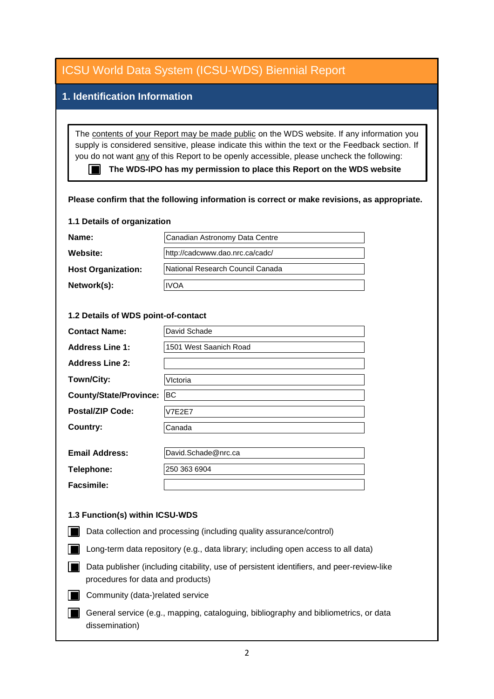| <b>ICSU World Data System (ICSU-WDS) Biennial Report</b>                                                                                                                                                                                                                                                                                                                                                                                                           |                                  |
|--------------------------------------------------------------------------------------------------------------------------------------------------------------------------------------------------------------------------------------------------------------------------------------------------------------------------------------------------------------------------------------------------------------------------------------------------------------------|----------------------------------|
| 1. Identification Information                                                                                                                                                                                                                                                                                                                                                                                                                                      |                                  |
| The contents of your Report may be made public on the WDS website. If any information you<br>supply is considered sensitive, please indicate this within the text or the Feedback section. If<br>you do not want any of this Report to be openly accessible, please uncheck the following:<br>The WDS-IPO has my permission to place this Report on the WDS website<br>Please confirm that the following information is correct or make revisions, as appropriate. |                                  |
| 1.1 Details of organization                                                                                                                                                                                                                                                                                                                                                                                                                                        |                                  |
| Name:                                                                                                                                                                                                                                                                                                                                                                                                                                                              | Canadian Astronomy Data Centre   |
| <b>Website:</b>                                                                                                                                                                                                                                                                                                                                                                                                                                                    | http://cadcwww.dao.nrc.ca/cadc/  |
| <b>Host Organization:</b>                                                                                                                                                                                                                                                                                                                                                                                                                                          | National Research Council Canada |
| Network(s):                                                                                                                                                                                                                                                                                                                                                                                                                                                        | <b>IVOA</b>                      |
| 1.2 Details of WDS point-of-contact                                                                                                                                                                                                                                                                                                                                                                                                                                |                                  |
| <b>Contact Name:</b>                                                                                                                                                                                                                                                                                                                                                                                                                                               | David Schade                     |
| <b>Address Line 1:</b>                                                                                                                                                                                                                                                                                                                                                                                                                                             | 1501 West Saanich Road           |
| <b>Address Line 2:</b>                                                                                                                                                                                                                                                                                                                                                                                                                                             |                                  |
| Town/City:                                                                                                                                                                                                                                                                                                                                                                                                                                                         | VIctoria                         |
| County/State/Province:  BC                                                                                                                                                                                                                                                                                                                                                                                                                                         |                                  |
| <b>Postal/ZIP Code:</b>                                                                                                                                                                                                                                                                                                                                                                                                                                            | <b>V7E2E7</b>                    |
| <b>Country:</b>                                                                                                                                                                                                                                                                                                                                                                                                                                                    | Canada                           |
| <b>Email Address:</b>                                                                                                                                                                                                                                                                                                                                                                                                                                              | David.Schade@nrc.ca              |
| Telephone:                                                                                                                                                                                                                                                                                                                                                                                                                                                         | 250 363 6904                     |
| <b>Facsimile:</b>                                                                                                                                                                                                                                                                                                                                                                                                                                                  |                                  |
| 1.3 Function(s) within ICSU-WDS<br>Data collection and processing (including quality assurance/control)                                                                                                                                                                                                                                                                                                                                                            |                                  |
| Long-term data repository (e.g., data library; including open access to all data)                                                                                                                                                                                                                                                                                                                                                                                  |                                  |
| Data publisher (including citability, use of persistent identifiers, and peer-review-like<br>procedures for data and products)                                                                                                                                                                                                                                                                                                                                     |                                  |
| Community (data-)related service                                                                                                                                                                                                                                                                                                                                                                                                                                   |                                  |
| General service (e.g., mapping, cataloguing, bibliography and bibliometrics, or data<br>dissemination)                                                                                                                                                                                                                                                                                                                                                             |                                  |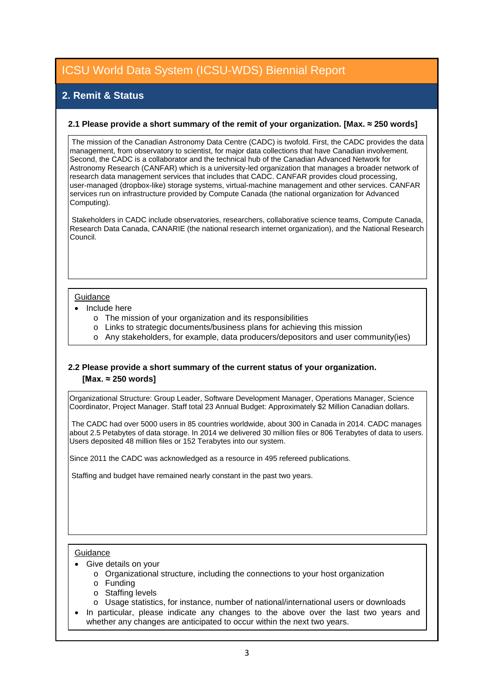### **2. Remit & Status**

#### **2.1 Please provide a short summary of the remit of your organization. [Max. ≈ 250 words]**

 The mission of the Canadian Astronomy Data Centre (CADC) is twofold. First, the CADC provides the data management, from observatory to scientist, for major data collections that have Canadian involvement. Second, the CADC is a collaborator and the technical hub of the Canadian Advanced Network for Astronomy Research (CANFAR) which is a university-led organization that manages a broader network of research data management services that includes that CADC. CANFAR provides cloud processing, user-managed (dropbox-like) storage systems, virtual-machine management and other services. CANFAR services run on infrastructure provided by Compute Canada (the national organization for Advanced Computing).

 Stakeholders in CADC include observatories, researchers, collaborative science teams, Compute Canada, Research Data Canada, CANARIE (the national research internet organization), and the National Research Council.

#### **Guidance**

- Include here
	- o The mission of your organization and its responsibilities
	- o Links to strategic documents/business plans for achieving this mission
	- o Any stakeholders, for example, data producers/depositors and user community(ies)

### **2.2 Please provide a short summary of the current status of your organization. [Max. ≈ 250 words]**

Organizational Structure: Group Leader, Software Development Manager, Operations Manager, Science Coordinator, Project Manager. Staff total 23 Annual Budget: Approximately \$2 Million Canadian dollars.

 The CADC had over 5000 users in 85 countries worldwide, about 300 in Canada in 2014. CADC manages about 2.5 Petabytes of data storage. In 2014 we delivered 30 million files or 806 Terabytes of data to users. Users deposited 48 million files or 152 Terabytes into our system.

Since 2011 the CADC was acknowledged as a resource in 495 refereed publications.

Staffing and budget have remained nearly constant in the past two years.

#### **Guidance**

- Give details on your
	- o Organizational structure, including the connections to your host organization
	- o Funding
	- o Staffing levels
	- o Usage statistics, for instance, number of national/international users or downloads
- In particular, please indicate any changes to the above over the last two years and whether any changes are anticipated to occur within the next two years.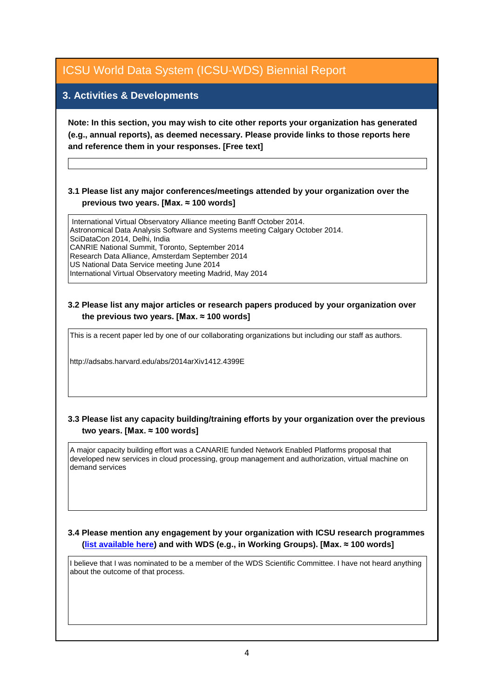### **3. Activities & Developments**

**Note: In this section, you may wish to cite other reports your organization has generated (e.g., annual reports), as deemed necessary. Please provide links to those reports here and reference them in your responses. [Free text]**

### **3.1 Please list any major conferences/meetings attended by your organization over the previous two years. [Max. ≈ 100 words]**

 International Virtual Observatory Alliance meeting Banff October 2014. Astronomical Data Analysis Software and Systems meeting Calgary October 2014. SciDataCon 2014, Delhi, India CANRIE National Summit, Toronto, September 2014 Research Data Alliance, Amsterdam September 2014 US National Data Service meeting June 2014 International Virtual Observatory meeting Madrid, May 2014

#### **3.2 Please list any major articles or research papers produced by your organization over the previous two years. [Max. ≈ 100 words]**

This is a recent paper led by one of our collaborating organizations but including our staff as authors.

http://adsabs.harvard.edu/abs/2014arXiv1412.4399E

### **3.3 Please list any capacity building/training efforts by your organization over the previous two years. [Max. ≈ 100 words]**

A major capacity building effort was a CANARIE funded Network Enabled Platforms proposal that developed new services in cloud processing, group management and authorization, virtual machine on demand services

**3.4 Please mention any engagement by your organization with ICSU research programmes [\(list available here\)](http://www.icsu.org/what-we-do/@@category_search?path=/icsu/what-we-do&Subject:list=International%20Research%20Collaboration) and with WDS (e.g., in Working Groups). [Max. ≈ 100 words]**

I believe that I was nominated to be a member of the WDS Scientific Committee. I have not heard anything about the outcome of that process.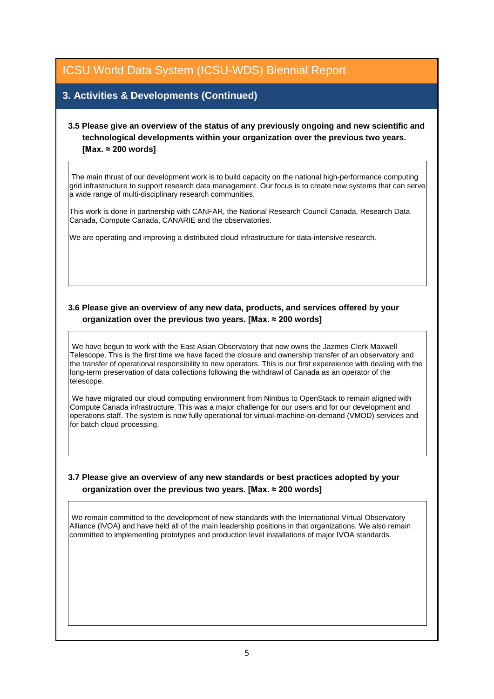### **3. Activities & Developments (Continued)**

### **3.5 Please give an overview of the status of any previously ongoing and new scientific and technological developments within your organization over the previous two years. [Max. ≈ 200 words]**

 The main thrust of our development work is to build capacity on the national high-performance computing grid infrastructure to support research data management. Our focus is to create new systems that can serve a wide range of multi-disciplinary research communities.

This work is done in partnership with CANFAR, the National Research Council Canada, Research Data Canada, Compute Canada, CANARIE and the observatories.

We are operating and improving a distributed cloud infrastructure for data-intensive research.

### **3.6 Please give an overview of any new data, products, and services offered by your organization over the previous two years. [Max. ≈ 200 words]**

 We have begun to work with the East Asian Observatory that now owns the Jazmes Clerk Maxwell Telescope. This is the first time we have faced the closure and ownership transfer of an observatory and the transfer of operational responsibility to new operators. This is our first expereience with dealing with the long-term preservation of data collections following the withdrawl of Canada as an operator of the telescope.

 We have migrated our cloud computing environment from Nimbus to OpenStack to remain aligned with Compute Canada infrastructure. This was a major challenge for our users and for our development and operations staff. The system is now fully operational for virtual-machine-on-demand (VMOD) services and for batch cloud processing.

### **3.7 Please give an overview of any new standards or best practices adopted by your organization over the previous two years. [Max. ≈ 200 words]**

 We remain committed to the development of new standards with the International Virtual Observatory Alliance (IVOA) and have held all of the main leadership positions in that organizations. We also remain committed to implementing prototypes and production level installations of major IVOA standards.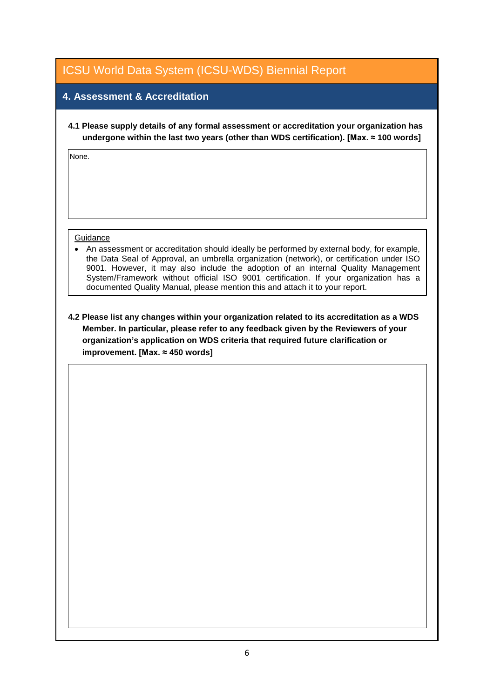### **4. Assessment & Accreditation**

**4.1 Please supply details of any formal assessment or accreditation your organization has undergone within the last two years (other than WDS certification). [Max. ≈ 100 words]**

None.

#### **Guidance**

• An assessment or accreditation should ideally be performed by external body, for example, the Data Seal of Approval, an umbrella organization (network), or certification under ISO 9001. However, it may also include the adoption of an internal Quality Management System/Framework without official ISO 9001 certification. If your organization has a documented Quality Manual, please mention this and attach it to your report.

**4.2 Please list any changes within your organization related to its accreditation as a WDS Member. In particular, please refer to any feedback given by the Reviewers of your organization's application on WDS criteria that required future clarification or improvement. [Max. ≈ 450 words]**